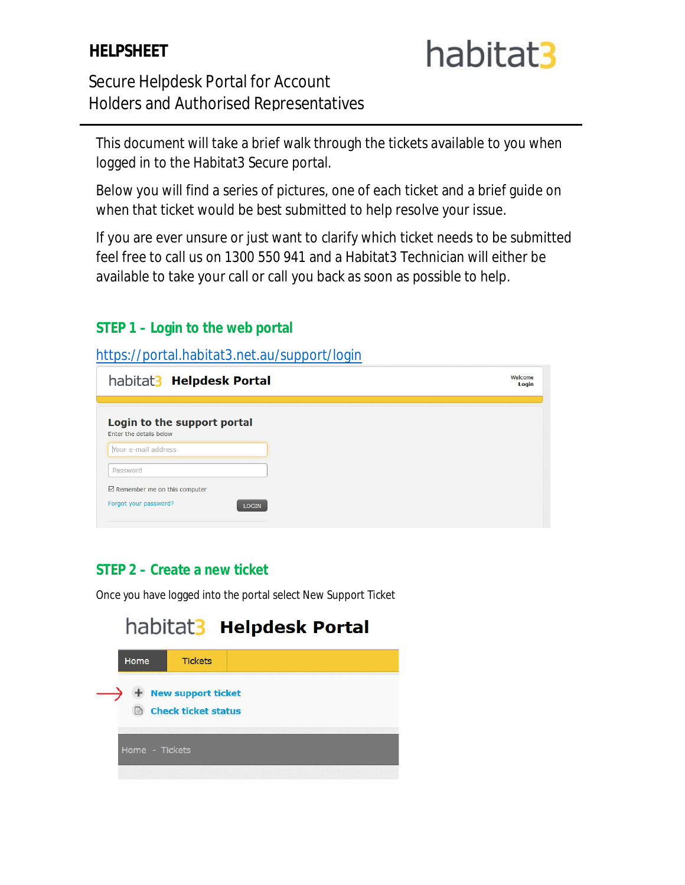#### **HELPSHEET**

# habitat3

#### Secure Helpdesk Portal for Account Holders and Authorised Representatives

This document will take a brief walk through the tickets available to you when logged in to the Habitat3 Secure portal.

Below you will find a series of pictures, one of each ticket and a brief guide on when that ticket would be best submitted to help resolve your issue.

If you are ever unsure or just want to clarify which ticket needs to be submitted feel free to call us on 1300 550 941 and a Habitat3 Technician will either be available to take your call or call you back as soon as possible to help.

#### **STEP 1 – Login to the web portal**

https://portal.habitat3.net.au/support/login

| Welcome<br>Login |
|------------------|
|                  |
|                  |
|                  |
|                  |
|                  |
|                  |

#### **STEP 2 – Create a new ticket**

Once you have logged into the portal select New Support Ticket

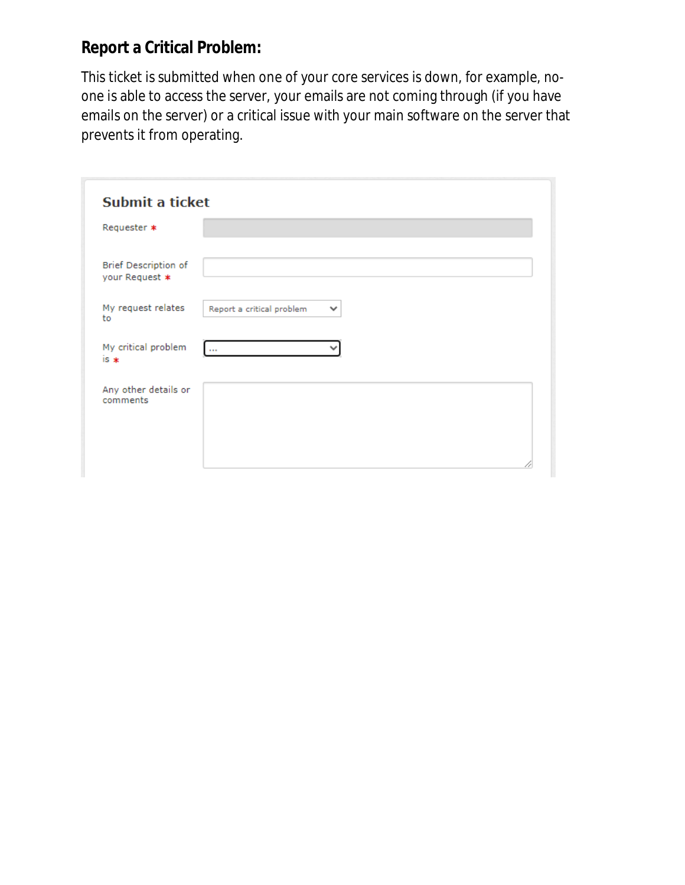## **Report a Critical Problem:**

This ticket is submitted when one of your core services is down, for example, noone is able to access the server, your emails are not coming through (if you have emails on the server) or a critical issue with your main software on the server that prevents it from operating.

| Submit a ticket                               |                                           |
|-----------------------------------------------|-------------------------------------------|
| Requester *                                   |                                           |
| <b>Brief Description of</b><br>your Request * |                                           |
| My request relates<br>to                      | Report a critical problem<br>$\checkmark$ |
| My critical problem<br>$is *$                 | $\cdots$                                  |
| Any other details or<br>comments              |                                           |
|                                               |                                           |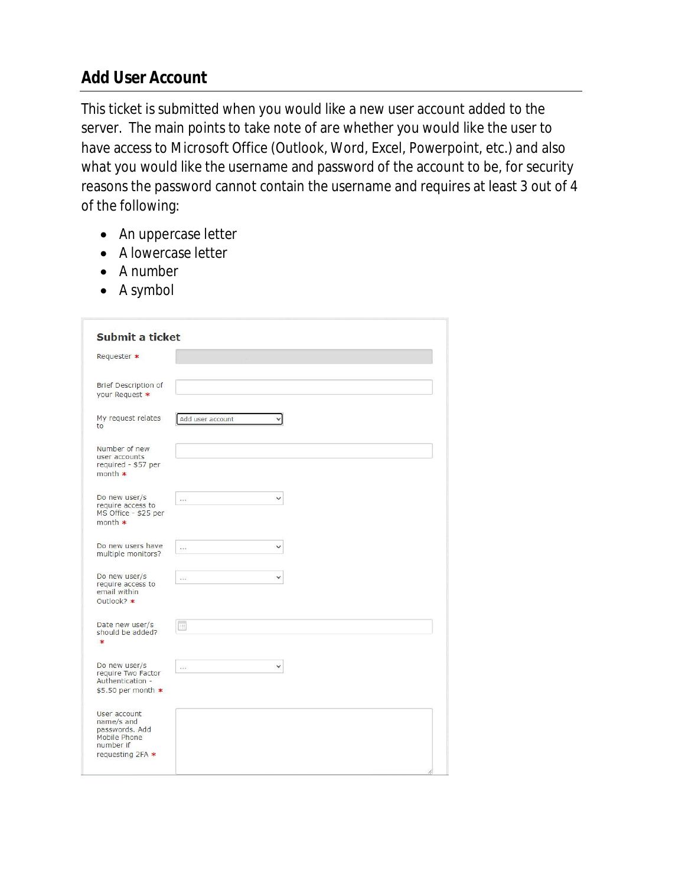#### **Add User Account**

This ticket is submitted when you would like a new user account added to the server. The main points to take note of are whether you would like the user to have access to Microsoft Office (Outlook, Word, Excel, Powerpoint, etc.) and also what you would like the username and password of the account to be, for security reasons the password cannot contain the username and requires at least 3 out of 4 of the following:

- An uppercase letter
- A lowercase letter
- A number
- A symbol

| Requester *                                     |                          |              |  |
|-------------------------------------------------|--------------------------|--------------|--|
|                                                 |                          |              |  |
| <b>Brief Description of</b>                     |                          |              |  |
| your Request *                                  |                          |              |  |
| My request relates<br>to                        | Add user account         |              |  |
| Number of new                                   |                          |              |  |
| user accounts<br>required - \$57 per<br>month * |                          |              |  |
| Do new user/s                                   | $\cdots$                 | $\checkmark$ |  |
| require access to<br>MS Office - \$25 per       |                          |              |  |
| month *                                         |                          |              |  |
| Do new users have                               | $\cdots$                 | v            |  |
| multiple monitors?                              |                          |              |  |
| Do new user/s<br>require access to              | $\cdots$                 | v            |  |
| email within<br>Outlook? *                      |                          |              |  |
|                                                 |                          |              |  |
| Date new user/s<br>should be added?             | $\overline{\phantom{a}}$ |              |  |
| $\ast$                                          |                          |              |  |
| Do new user/s<br>require Two Factor             | $\cdots$                 | v            |  |
| Authentication -                                |                          |              |  |
| $$5.50$ per month $*$                           |                          |              |  |
| User account<br>name/s and                      |                          |              |  |
| passwords. Add<br>Mobile Phone                  |                          |              |  |
| number if<br>requesting 2FA *                   |                          |              |  |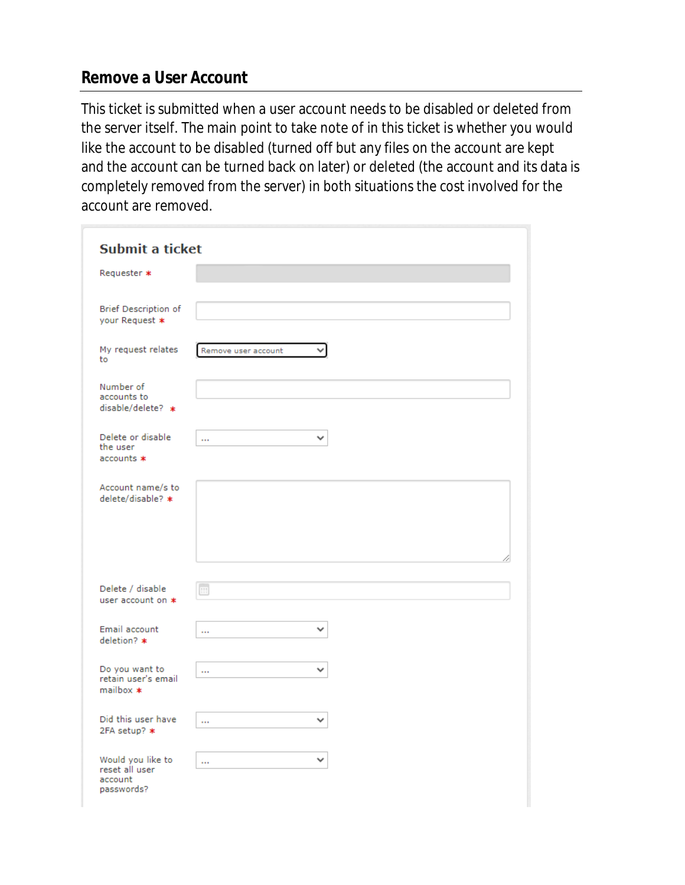#### **Remove a User Account**

This ticket is submitted when a user account needs to be disabled or deleted from the server itself. The main point to take note of in this ticket is whether you would like the account to be disabled (turned off but any files on the account are kept and the account can be turned back on later) or deleted (the account and its data is completely removed from the server) in both situations the cost involved for the account are removed.

| Submit a ticket           |                     |              |
|---------------------------|---------------------|--------------|
| Requester *               |                     |              |
|                           |                     |              |
| Brief Description of      |                     |              |
| your Request *            |                     |              |
| My request relates<br>to  | Remove user account | $\checkmark$ |
|                           |                     |              |
| Number of<br>accounts to  |                     |              |
| disable/delete? *         |                     |              |
| Delete or disable         |                     | $\checkmark$ |
| the user                  |                     |              |
| accounts *                |                     |              |
| Account name/s to         |                     |              |
| delete/disable? *         |                     |              |
|                           |                     |              |
|                           |                     |              |
|                           |                     |              |
| Delete / disable          | œ                   |              |
| user account on *         |                     |              |
| Email account             |                     |              |
| deletion? *               | $\cdots$            |              |
| Do you want to            |                     | v            |
| retain user's email       | $\cdots$            |              |
| $mailbox *$               |                     |              |
| Did this user have        | $\cdots$            | ◡            |
| 2FA setup? *              |                     |              |
| Would you like to         | $\cdots$            | v            |
| reset all user<br>account |                     |              |
| nasswords?                |                     |              |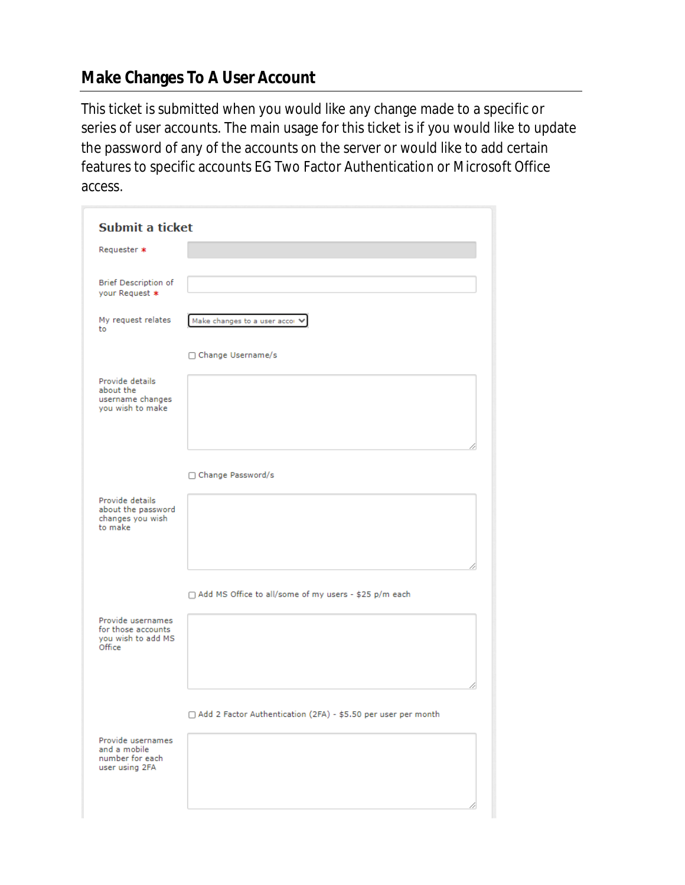## **Make Changes To A User Account**

This ticket is submitted when you would like any change made to a specific or series of user accounts. The main usage for this ticket is if you would like to update the password of any of the accounts on the server or would like to add certain features to specific accounts EG Two Factor Authentication or Microsoft Office access.

| Submit a ticket                                                         |                                                                 |
|-------------------------------------------------------------------------|-----------------------------------------------------------------|
| Requester *                                                             |                                                                 |
| Brief Description of<br>your Request *                                  |                                                                 |
| My request relates<br>to                                                | Make changes to a user accor \                                  |
|                                                                         | □ Change Username/s                                             |
| Provide details<br>about the<br>username changes<br>you wish to make    |                                                                 |
|                                                                         | □ Change Password/s                                             |
| Provide details<br>about the password<br>changes you wish<br>to make    |                                                                 |
|                                                                         | □ Add MS Office to all/some of my users - \$25 p/m each         |
| Provide usernames<br>for those accounts<br>you wish to add MS<br>Office |                                                                 |
|                                                                         | □ Add 2 Factor Authentication (2FA) - \$5.50 per user per month |
| Provide usernames<br>and a mobile<br>number for each<br>user using 2FA  |                                                                 |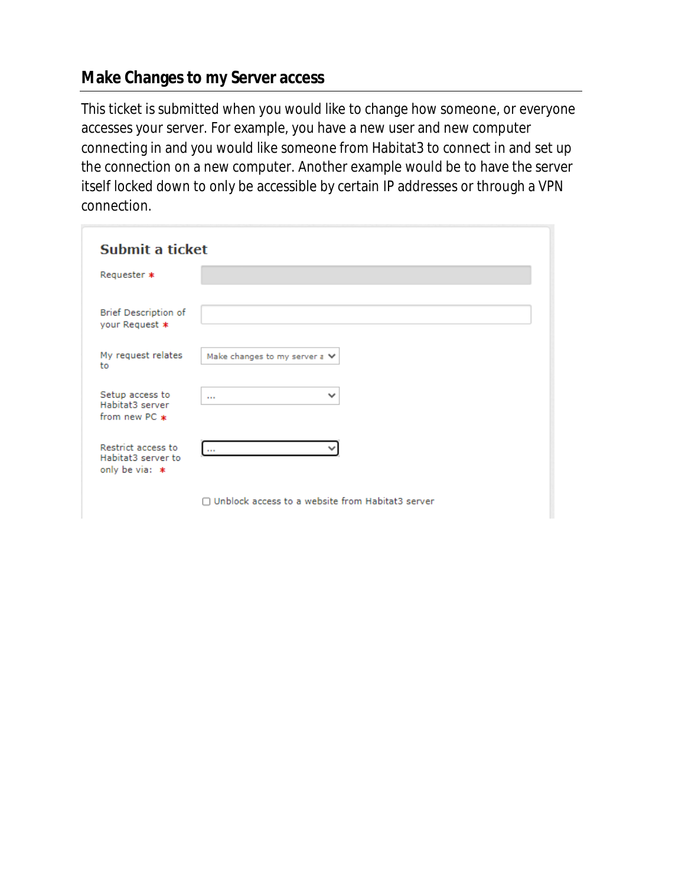#### **Make Changes to my Server access**

This ticket is submitted when you would like to change how someone, or everyone accesses your server. For example, you have a new user and new computer connecting in and you would like someone from Habitat3 to connect in and set up the connection on a new computer. Another example would be to have the server itself locked down to only be accessible by certain IP addresses or through a VPN connection.

| Submit a ticket                                              |                                                  |  |
|--------------------------------------------------------------|--------------------------------------------------|--|
| Requester *                                                  |                                                  |  |
| <b>Brief Description of</b><br>your Request *                |                                                  |  |
| My request relates<br>to                                     | Make changes to my server $z \vee$               |  |
| Setup access to<br>Habitat3 server<br>from new PC $*$        | $\checkmark$<br>$\cdots$                         |  |
| Restrict access to<br>Habitat3 server to<br>only be via: $*$ | $\sim$ $\sim$                                    |  |
|                                                              | Unblock access to a website from Habitat3 server |  |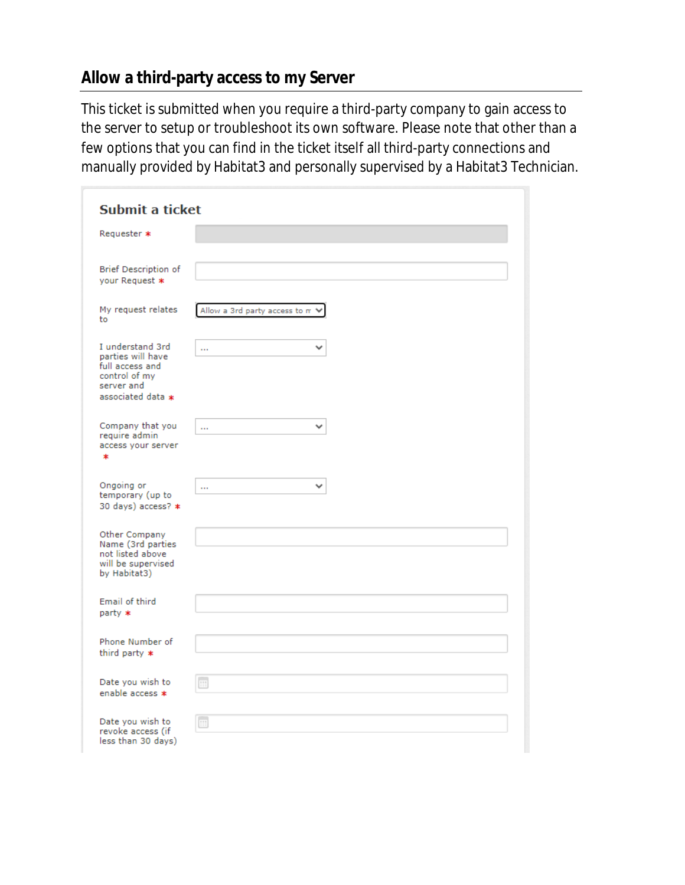## **Allow a third-party access to my Server**

This ticket is submitted when you require a third-party company to gain access to the server to setup or troubleshoot its own software. Please note that other than a few options that you can find in the ticket itself all third-party connections and manually provided by Habitat3 and personally supervised by a Habitat3 Technician.

| Submit a ticket                                                                                              |                                 |
|--------------------------------------------------------------------------------------------------------------|---------------------------------|
| Requester *                                                                                                  |                                 |
| Brief Description of<br>your Request *                                                                       |                                 |
| My request relates<br>to                                                                                     | Allow a 3rd party access to m V |
| I understand 3rd<br>parties will have<br>full access and<br>control of my<br>server and<br>associated data * | v<br>$\cdots$                   |
| Company that you<br>require admin<br>access your server<br>$\ast$                                            | a an                            |
| Ongoing or<br>temporary (up to<br>30 days) access? *                                                         | m                               |
| Other Company<br>Name (3rd parties<br>not listed above<br>will be supervised<br>by Habitat3)                 |                                 |
| Email of third<br>party *                                                                                    |                                 |
| Phone Number of<br>third party $*$                                                                           |                                 |
| Date you wish to<br>enable access *                                                                          | œ                               |
| Date you wish to<br>revoke access (if<br>less than 30 days)                                                  | m                               |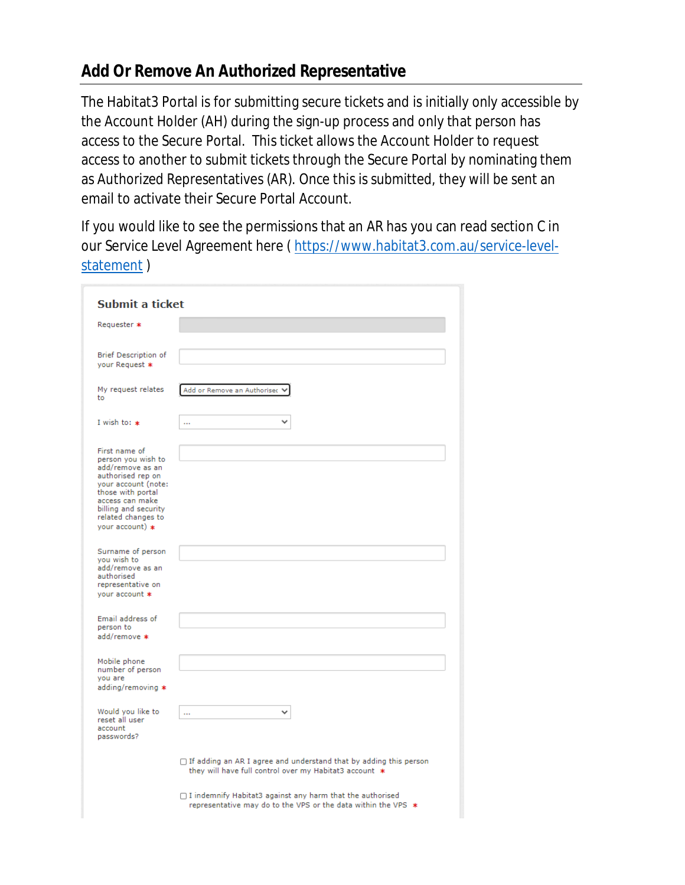#### **Add Or Remove An Authorized Representative**

The Habitat3 Portal is for submitting secure tickets and is initially only accessible by the Account Holder (AH) during the sign-up process and only that person has access to the Secure Portal. This ticket allows the Account Holder to request access to another to submit tickets through the Secure Portal by nominating them as Authorized Representatives (AR). Once this is submitted, they will be sent an email to activate their Secure Portal Account.

If you would like to see the permissions that an AR has you can read section C in our Service Level Agreement here ( https://www.habitat3.com.au/service-levelstatement)

| Submit a ticket                                                                                                                                                                                                |                                                                                                                                    |
|----------------------------------------------------------------------------------------------------------------------------------------------------------------------------------------------------------------|------------------------------------------------------------------------------------------------------------------------------------|
| Requester *                                                                                                                                                                                                    |                                                                                                                                    |
| Brief Description of<br>your Request *                                                                                                                                                                         |                                                                                                                                    |
| My request relates<br>to.                                                                                                                                                                                      | Add or Remove an Authoriser V                                                                                                      |
| I wish to: $*$                                                                                                                                                                                                 | òн,                                                                                                                                |
| First name of<br>person you wish to<br>add/remove as an<br>authorised rep on<br>your account (note:<br>those with portal<br>access can make<br>billing and security<br>related changes to<br>vour account) $*$ |                                                                                                                                    |
| Surname of person<br>you wish to<br>add/remove as an<br>authorised<br>representative on<br>your account *                                                                                                      |                                                                                                                                    |
| Email address of<br>person to<br>add/remove *                                                                                                                                                                  |                                                                                                                                    |
| Mobile phone<br>number of person<br>you are<br>adding/removing *                                                                                                                                               |                                                                                                                                    |
| Would you like to<br>reset all user<br>account<br>passwords?                                                                                                                                                   | a an                                                                                                                               |
|                                                                                                                                                                                                                | $\Box$ If adding an AR I agree and understand that by adding this person<br>they will have full control over my Habitat3 account * |
|                                                                                                                                                                                                                | $\Box$ I indemnify Habitat3 against any harm that the authorised<br>representative may do to the VPS or the data within the VPS *  |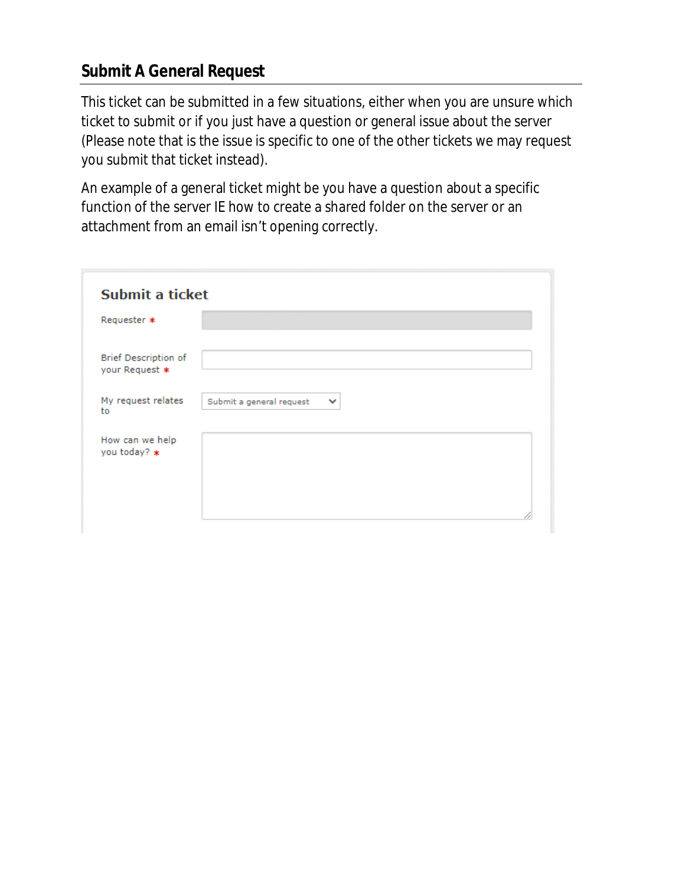## **Submit A General Request**

This ticket can be submitted in a few situations, either when you are unsure which ticket to submit or if you just have a question or general issue about the server (Please note that is the issue is specific to one of the other tickets we may request you submit that ticket instead).

An example of a general ticket might be you have a question about a specific function of the server IE how to create a shared folder on the server or an attachment from an email isn't opening correctly.

| Submit a ticket                               |                                          |
|-----------------------------------------------|------------------------------------------|
| Requester *                                   |                                          |
| <b>Brief Description of</b><br>your Request * |                                          |
| My request relates<br>to                      | Submit a general request<br>$\checkmark$ |
| How can we help<br>you today? *               |                                          |
|                                               |                                          |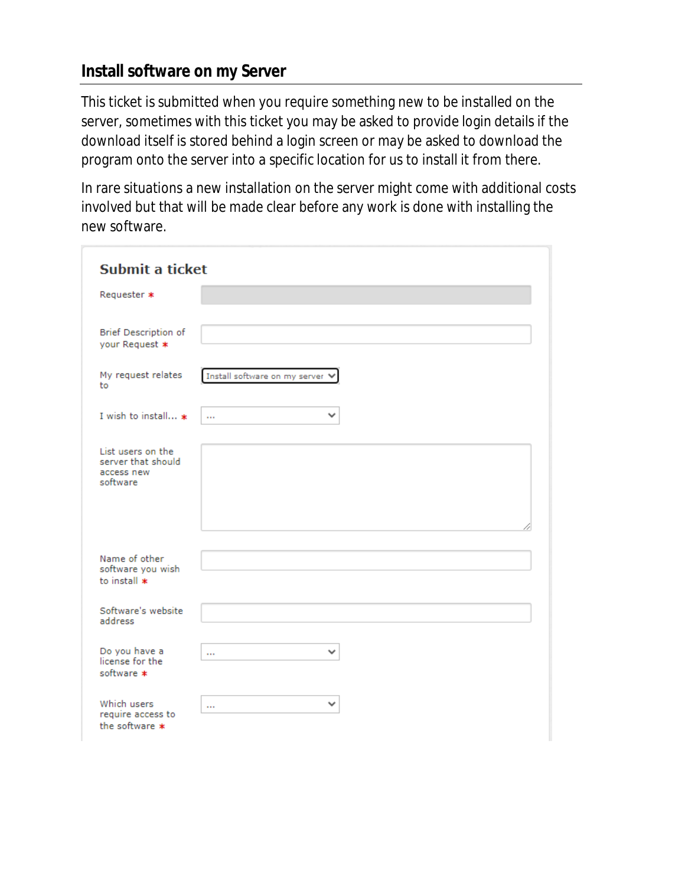#### **Install software on my Server**

This ticket is submitted when you require something new to be installed on the server, sometimes with this ticket you may be asked to provide login details if the download itself is stored behind a login screen or may be asked to download the program onto the server into a specific location for us to install it from there.

In rare situations a new installation on the server might come with additional costs involved but that will be made clear before any work is done with installing the new software.

| Submit a ticket                                                   |                                 |
|-------------------------------------------------------------------|---------------------------------|
| Requester *                                                       |                                 |
| <b>Brief Description of</b><br>your Request *                     |                                 |
| My request relates<br>to                                          | Install software on my server V |
| I wish to install *                                               | $\checkmark$<br>$\cdots$        |
| List users on the<br>server that should<br>access new<br>software |                                 |
| Name of other<br>software you wish<br>to install $*$              |                                 |
| Software's website<br>address                                     |                                 |
| Do you have a<br>license for the<br>software *                    | v<br>$\cdots$                   |
| Which users<br>require access to<br>the software *                | v<br>$\cdots$                   |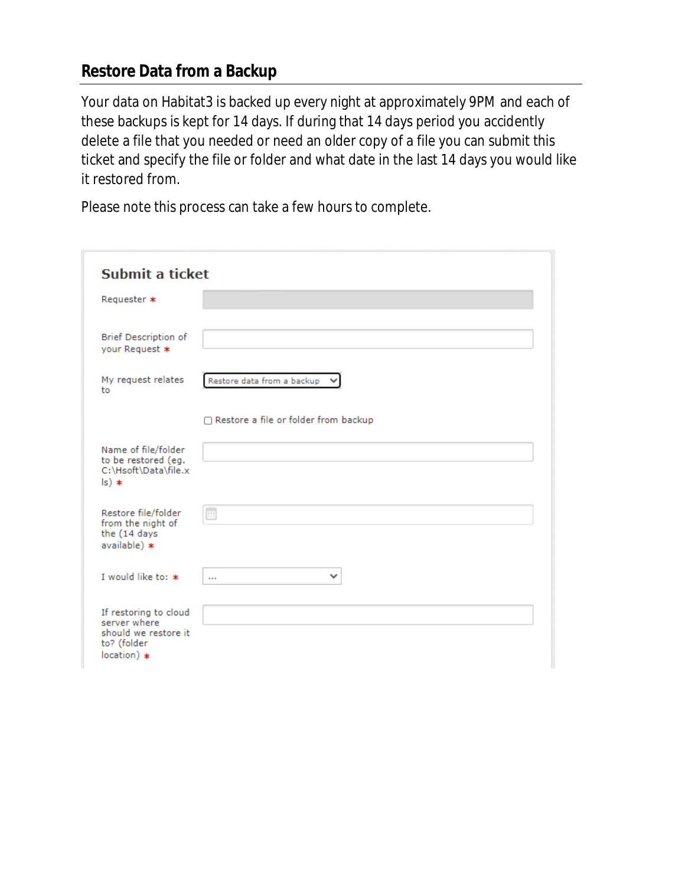#### **Restore Data from a Backup**

Your data on Habitat3 is backed up every night at approximately 9PM and each of these backups is kept for 14 days. If during that 14 days period you accidently delete a file that you needed or need an older copy of a file you can submit this ticket and specify the file or folder and what date in the last 14 days you would like it restored from.

Please note this process can take a few hours to complete.

|                                                                                               | Submit a ticket                      |  |
|-----------------------------------------------------------------------------------------------|--------------------------------------|--|
| Requester *                                                                                   |                                      |  |
| Brief Description of<br>your Request *                                                        |                                      |  |
| My request relates<br>to                                                                      | Restore data from a backup \         |  |
|                                                                                               | Restore a file or folder from backup |  |
| Name of file/folder<br>to be restored (eg.<br>C:\Hsoft\Data\file.x<br>$ s $ $*$               |                                      |  |
| Restore file/folder<br>from the night of<br>the (14 days<br>available) *                      | $\Box$                               |  |
| I would like to: *                                                                            | v<br>$\cdots$                        |  |
| If restoring to cloud<br>server where<br>should we restore it<br>to? (folder<br>$location)$ * |                                      |  |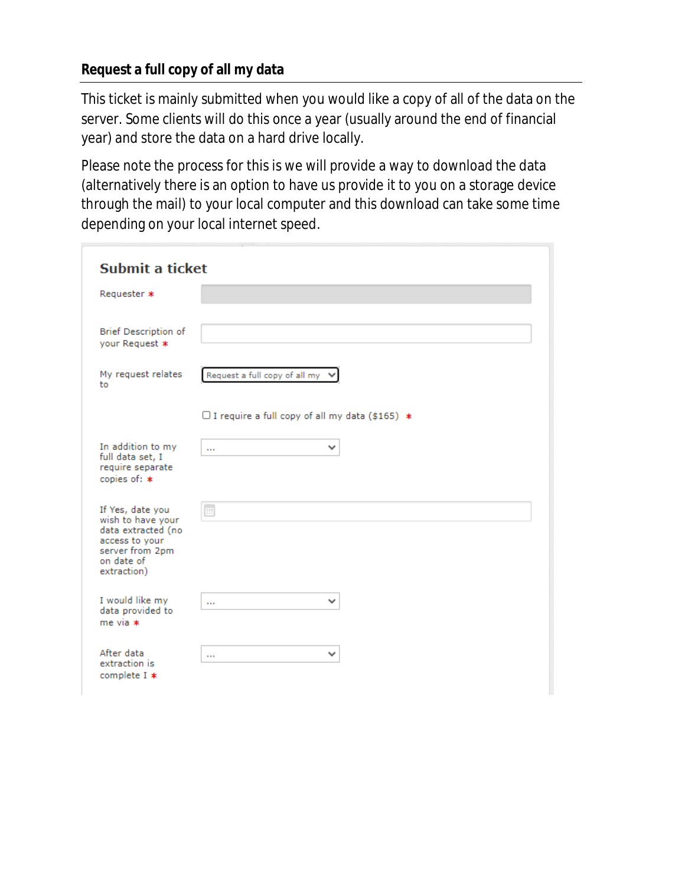#### **Request a full copy of all my data**

This ticket is mainly submitted when you would like a copy of all of the data on the server. Some clients will do this once a year (usually around the end of financial year) and store the data on a hard drive locally.

Please note the process for this is we will provide a way to download the data (alternatively there is an option to have us provide it to you on a storage device through the mail) to your local computer and this download can take some time depending on your local internet speed.

| <b>Submit a ticket</b>                                                                                                        |                                                       |  |
|-------------------------------------------------------------------------------------------------------------------------------|-------------------------------------------------------|--|
| Requester *                                                                                                                   |                                                       |  |
| Brief Description of<br>your Request *                                                                                        |                                                       |  |
| My request relates<br>to                                                                                                      | Request a full copy of all my                         |  |
|                                                                                                                               | $\Box$ I require a full copy of all my data (\$165) * |  |
| In addition to my<br>full data set, I<br>require separate<br>copies of: *                                                     | v<br>$\cdots$                                         |  |
| If Yes, date you<br>wish to have your<br>data extracted (no<br>access to your<br>server from 2pm<br>on date of<br>extraction) | $\blacksquare$                                        |  |
| I would like my<br>data provided to<br>$me via *$                                                                             | v<br>$\cdots$                                         |  |
| After data<br>extraction is<br>complete I *                                                                                   | v<br>                                                 |  |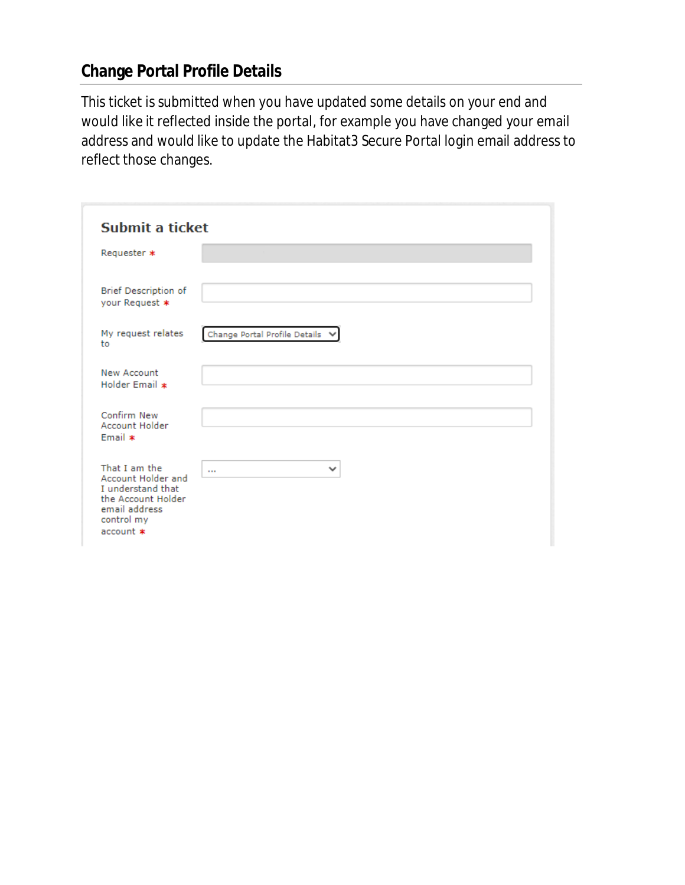## **Change Portal Profile Details**

This ticket is submitted when you have updated some details on your end and would like it reflected inside the portal, for example you have changed your email address and would like to update the Habitat3 Secure Portal login email address to reflect those changes.

| Submit a ticket                                                                                                            |                                 |  |
|----------------------------------------------------------------------------------------------------------------------------|---------------------------------|--|
| Requester *                                                                                                                |                                 |  |
| <b>Brief Description of</b><br>your Request *                                                                              |                                 |  |
| My request relates<br>to                                                                                                   | Change Portal Profile Details V |  |
| <b>New Account</b><br>Holder Email *                                                                                       |                                 |  |
| Confirm New<br>Account Holder<br>Email *                                                                                   |                                 |  |
| That I am the<br>Account Holder and<br>I understand that<br>the Account Holder<br>email address<br>control my<br>account * | $\checkmark$<br>$\cdots$        |  |